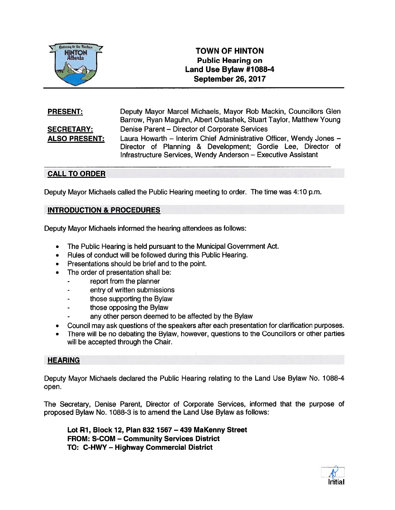

# **TOWN OF HINTON Public Hearing on** Land Use Bylaw #1088-4 September 26, 2017

| <b>PRESENT:</b>      | Deputy Mayor Marcel Michaels, Mayor Rob Mackin, Councillors Glen<br>Barrow, Ryan Maguhn, Albert Ostashek, Stuart Taylor, Matthew Young |
|----------------------|----------------------------------------------------------------------------------------------------------------------------------------|
| <b>SECRETARY:</b>    | Denise Parent – Director of Corporate Services                                                                                         |
| <b>ALSO PRESENT:</b> | Laura Howarth - Interim Chief Administrative Officer, Wendy Jones -                                                                    |
|                      | Director of Planning & Development; Gordie Lee, Director of                                                                            |
|                      | Infrastructure Services, Wendy Anderson - Executive Assistant                                                                          |

### CALL TO ORDER

Deputy Mayor Michaels called the Public Hearing meeting to order. The time was 4:10 p.m.

#### INTRODUCTION & PROCEDURES

Deputy Mayor Michaels informed the hearing attendees as follows:

- •The Public Hearing is held pursuan<sup>t</sup> to the Municipal Government Act.
- •Rules of conduct will be followed during this Public Hearing.
- •Presentations should be brief and to the point.
- • The order of presentation shall be:
	- repor<sup>t</sup> from the planner
	- entry of written submissions
	- those supporting the Bylaw
	- those opposing the Bylaw
	- any other person deemed to be affected by the Bylaw
- •Council may ask questions of the speakers after each presentation for clarification purposes.
- • There will be no debating the Bylaw, however, questions to the Councillors or other parties will be accepted through the Chair.

#### **HEARING**

Deputy Mayor Michaels declared the Public Hearing relating to the Land Use Bylaw No. 1088-4 open.

The Secretary, Denise Parent, Director of Corporate Services, informed that the purpose of proposed Bylaw No. 1088-3 is to amend the Land Use Bylaw as follows:

Lot Ri, Block 12, Plan 832 1567 — 439 MaKenny Street FROM: S-COM — Community Services District TO: C-HWY — Highway Commercial District

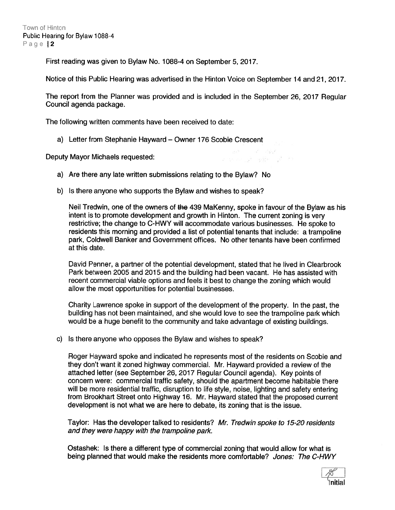First reading was given to Bylaw No. 1088-4 on September 5, 2017.

Notice of this Public Hearing was advertised in the Hinton Voice on September <sup>14</sup> and 21, 2017.

The repor<sup>t</sup> from the Planner was provided and is included in the September 26, 2017 Regular Council agenda package.

The following written comments have been received to date:

a) Letter from Stephanie Hayward — Owner 176 Scobie Crescent

Deputy Mayor Michaels requested:

- a) Are there any late written submissions relating to the Bylaw? No
- b) Is there anyone who supports the Bylaw and wishes to speak?

Neil Tredwin, one of the owners of the 439 MaKenny, spoke in favour of the Bylaw as his intent is to promote development and growth in Hinton. The current zoning is very restrictive; the change to C-HWY will accommodate various businesses. He spoke to residents this morning and provided <sup>a</sup> list of potential tenants that include: <sup>a</sup> trampoline park, Coldwell Banker and Government offices. No other tenants have been confirmed at this date.

all a consultation a specie of page of the

David Penner, <sup>a</sup> partner of the potential development, stated that he lived in Clearbrook Park between 2005 and 2015 and the building had been vacant. He has assisted with recent commercial viable options and feels it best to change the zoning which would allow the most opportunities for potential businesses.

Charity Lawrence spoke in suppor<sup>t</sup> of the development of the property. In the past, the building has not been maintained, and she would love to see the trampoline park which would be <sup>a</sup> huge benefit to the community and take advantage of existing buildings.

c) Is there anyone who opposes the Bylaw and wishes to speak?

Roger Hayward spoke and indicated he represents most of the residents on Scobie and they don't want it zoned highway commercial. Mr. Hayward provided <sup>a</sup> review of the attached letter (see September 26, 2017 Regular Council agenda). Key points of concern were: commercial traffic safety, should the apartment become habitable there will be more residential traffic, disruption to life style, noise, lighting and safety entering from Brookhart Street onto Highway 16. Mr. Hayward stated that the proposed current development is not what we are here to debate, its zoning that is the issue.

Taylor: Has the developer talked to residents? Mr. Tredwin spoke to 75-20 residents and they were happy with the trampoline park.

Ostashek: Is there <sup>a</sup> different type of commercial zoning that would allow for what is being planned that would make the residents more comfortable? Jones: The C-HWY

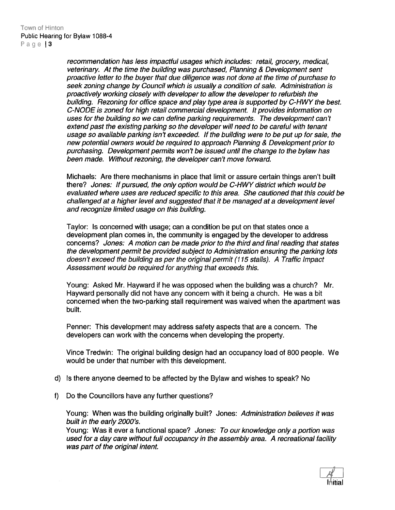recommendation has less impactiul usages which includes: retail, grocery, medical, veterinary. At the time the building was purchased, Planning & Development sent proactive letter to the buyer that due diligence was not done at the time of purchase to seek zoning change by Council which is usually a condition of sale. Administration is proactively working closely with developer to allow the developer to refurbish the building. Rezoning for office space and play type area is supported by C-HWY the best. C-NODE is zoned for high retail commercial development. It provides information on uses for the building so we can define parking requirements. The development can't extend pas<sup>t</sup> the existing parking so the developer will need to be careful with tenant usage so available parking isn't exceeded. If the building were to be pu<sup>t</sup> up for sale, the new potential owners would be required to approach Planning & Development prior to purchasing. Development permits won't be issued until the change to the bylaw has been made. Without rezoning, the developer can't move forward.

Michaels: Are there mechanisms in place that limit or assure certain things aren't built there? Jones: If pursued, the only option would be C-HWY district which would be evaluated where uses are reduced specific to this area. She cautioned that this could be challenged at <sup>a</sup> higher level and suggested that it be managed at <sup>a</sup> development level and recognize limited usage on this building.

Taylor: Is concerned with usage; can <sup>a</sup> condition be pu<sup>t</sup> on that states once <sup>a</sup> development plan comes in, the community is engaged by the developer to address concerns? Jones: A motion can be made prior to the third and final reading that states the development permit be provided subject to Administration ensuring the parking lots doesn't exceed the building as per the original permit (775 stalls). A Traffic Impact Assessment would be required for anything that exceeds this.

Young: Asked Mr. Hayward if he was opposed when the building was <sup>a</sup> church? Mr. Hayward personally did not have any concern with it being <sup>a</sup> church. He was <sup>a</sup> bit concerned when the two-parking stall requirement was waived when the apartment was built.

Penner: This development may address safety aspects that are <sup>a</sup> concern. The developers can work with the concerns when developing the property.

Vince Tredwin: The original building design had an occupancy load of 800 people. We would be under that number with this development.

- d) Is there anyone deemed to be affected by the Bylaw and wishes to speak? No
- f) Do the Councillors have any further questions?

Young: When was the building originally built? Jones: Administration believes it was built in the early 2000's.

Young: Was it ever a functional space? Jones: To our knowledge only a portion was used for <sup>a</sup> day care without full occupancy in the assembly area. A recreational facility was par<sup>t</sup> of the original intent.